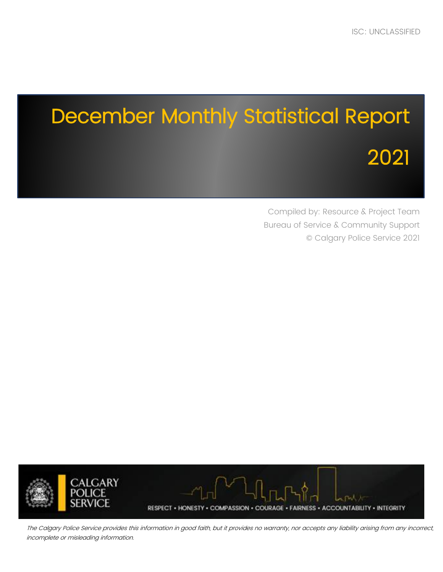# December Monthly Statistical Report 2021

Compiled by: Resource & Project Team Bureau of Service & Community Support © Calgary Police Service 2021



The Calgary Police Service provides this information in good faith, but it provides no warranty, nor accepts any liability arising from any incorrect, incomplete or misleading information.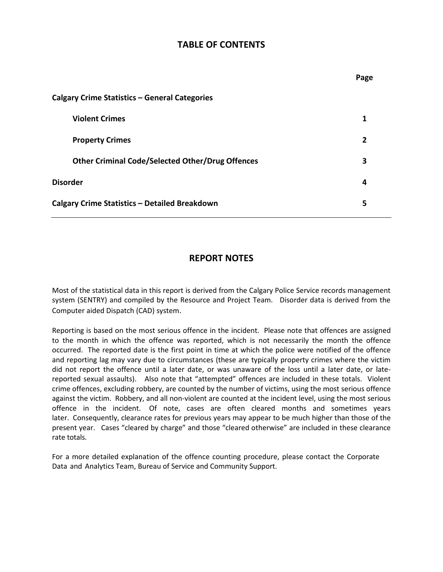## **TABLE OF CONTENTS**

|                                                         | Page |
|---------------------------------------------------------|------|
| <b>Calgary Crime Statistics - General Categories</b>    |      |
| <b>Violent Crimes</b>                                   | 1    |
| <b>Property Crimes</b>                                  | 2    |
| <b>Other Criminal Code/Selected Other/Drug Offences</b> | 3    |
| <b>Disorder</b>                                         | 4    |
| <b>Calgary Crime Statistics - Detailed Breakdown</b>    | 5    |

# **REPORT NOTES**

Most of the statistical data in this report is derived from the Calgary Police Service records management system (SENTRY) and compiled by the Resource and Project Team. Disorder data is derived from the Computer aided Dispatch (CAD) system.

Reporting is based on the most serious offence in the incident. Please note that offences are assigned to the month in which the offence was reported, which is not necessarily the month the offence occurred. The reported date is the first point in time at which the police were notified of the offence and reporting lag may vary due to circumstances (these are typically property crimes where the victim did not report the offence until a later date, or was unaware of the loss until a later date, or latereported sexual assaults). Also note that "attempted" offences are included in these totals. Violent crime offences, excluding robbery, are counted by the number of victims, using the most serious offence against the victim. Robbery, and all non-violent are counted at the incident level, using the most serious offence in the incident. Of note, cases are often cleared months and sometimes years later. Consequently, clearance rates for previous years may appear to be much higher than those of the present year. Cases "cleared by charge" and those "cleared otherwise" are included in these clearance rate totals.

For a more detailed explanation of the offence counting procedure, please contact the Corporate Data and Analytics Team, Bureau of Service and Community Support.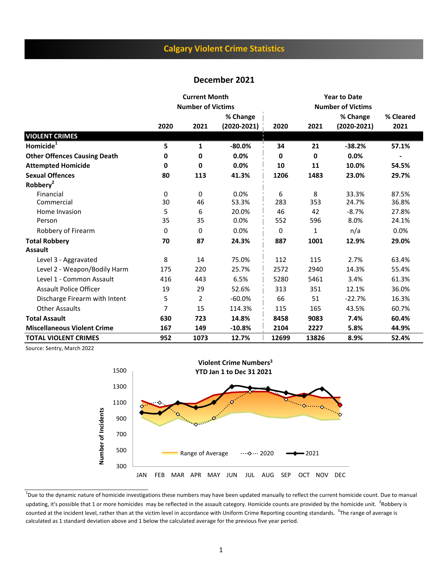# **Calgary Violent Crime Statistics**

#### **December 2021**

|                                     |      | <b>Current Month</b>     |               | <b>Year to Date</b> |       |                          |           |  |  |
|-------------------------------------|------|--------------------------|---------------|---------------------|-------|--------------------------|-----------|--|--|
|                                     |      | <b>Number of Victims</b> |               |                     |       | <b>Number of Victims</b> |           |  |  |
|                                     |      |                          | % Change      |                     |       | % Change                 | % Cleared |  |  |
|                                     | 2020 | 2021                     | $(2020-2021)$ | 2020                | 2021  | $(2020 - 2021)$          | 2021      |  |  |
| <b>VIOLENT CRIMES</b>               |      |                          |               |                     |       |                          |           |  |  |
| Homicide <sup>T</sup>               | 5    | 1                        | $-80.0%$      | 34                  | 21    | $-38.2%$                 | 57.1%     |  |  |
| <b>Other Offences Causing Death</b> | 0    | 0                        | 0.0%          | 0                   | 0     | 0.0%                     |           |  |  |
| <b>Attempted Homicide</b>           | 0    | 0                        | 0.0%          | 10                  | 11    | 10.0%                    | 54.5%     |  |  |
| <b>Sexual Offences</b>              | 80   | 113                      | 41.3%         | 1206                | 1483  | 23.0%                    | 29.7%     |  |  |
| Robbery <sup>2</sup>                |      |                          |               |                     |       |                          |           |  |  |
| Financial                           | 0    | 0                        | 0.0%          | 6                   | 8     | 33.3%                    | 87.5%     |  |  |
| Commercial                          | 30   | 46                       | 53.3%         | 283                 | 353   | 24.7%                    | 36.8%     |  |  |
| Home Invasion                       | 5    | 6                        | 20.0%         | 46                  | 42    | $-8.7%$                  | 27.8%     |  |  |
| Person                              | 35   | 35                       | 0.0%          | 552                 | 596   | 8.0%                     | 24.1%     |  |  |
| Robbery of Firearm                  | 0    | 0                        | 0.0%          | 0                   | 1     | n/a                      | 0.0%      |  |  |
| <b>Total Robbery</b>                | 70   | 87                       | 24.3%         | 887                 | 1001  | 12.9%                    | 29.0%     |  |  |
| <b>Assault</b>                      |      |                          |               |                     |       |                          |           |  |  |
| Level 3 - Aggravated                | 8    | 14                       | 75.0%         | 112                 | 115   | 2.7%                     | 63.4%     |  |  |
| Level 2 - Weapon/Bodily Harm        | 175  | 220                      | 25.7%         | 2572                | 2940  | 14.3%                    | 55.4%     |  |  |
| Level 1 - Common Assault            | 416  | 443                      | 6.5%          | 5280                | 5461  | 3.4%                     | 61.3%     |  |  |
| <b>Assault Police Officer</b>       | 19   | 29                       | 52.6%         | 313                 | 351   | 12.1%                    | 36.0%     |  |  |
| Discharge Firearm with Intent       | 5    | 2                        | $-60.0%$      | 66                  | 51    | $-22.7%$                 | 16.3%     |  |  |
| <b>Other Assaults</b>               | 7    | 15                       | 114.3%        | 115                 | 165   | 43.5%                    | 60.7%     |  |  |
| <b>Total Assault</b>                | 630  | 723                      | 14.8%         | 8458                | 9083  | 7.4%                     | 60.4%     |  |  |
| <b>Miscellaneous Violent Crime</b>  | 167  | 149                      | $-10.8%$      | 2104                | 2227  | 5.8%                     | 44.9%     |  |  |
| <b>TOTAL VIOLENT CRIMES</b>         | 952  | 1073                     | 12.7%         | 12699               | 13826 | 8.9%                     | 52.4%     |  |  |

Source: Sentry, March 2022



<sup>&</sup>lt;sup>1</sup>Due to the dynamic nature of homicide investigations these numbers may have been updated manually to reflect the current homicide count. Due to manual updating, it's possible that 1 or more homicides may be reflected in the assault category. Homicide counts are provided by the homicide unit. <sup>2</sup>Robbery is counted at the incident level, rather than at the victim level in accordance with Uniform Crime Reporting counting standards. <sup>3</sup>The range of average is calculated as 1 standard deviation above and 1 below the calculated average for the previous five year period.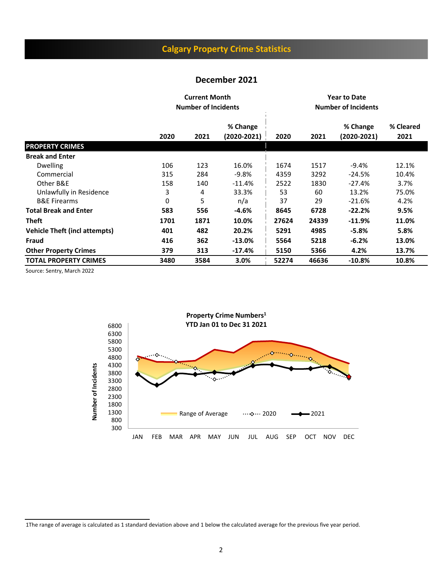# **Calgary Property Crime Statistics**

#### **December 2021**

|                                      |      | <b>Current Month</b><br><b>Number of Incidents</b> |                         | <b>Year to Date</b><br><b>Number of Incidents</b> |       |                         |                   |  |
|--------------------------------------|------|----------------------------------------------------|-------------------------|---------------------------------------------------|-------|-------------------------|-------------------|--|
|                                      | 2020 | 2021                                               | % Change<br>(2020-2021) | 2020                                              | 2021  | % Change<br>(2020-2021) | % Cleared<br>2021 |  |
| <b>PROPERTY CRIMES</b>               |      |                                                    |                         |                                                   |       |                         |                   |  |
| <b>Break and Enter</b>               |      |                                                    |                         |                                                   |       |                         |                   |  |
| <b>Dwelling</b>                      | 106  | 123                                                | 16.0%                   | 1674                                              | 1517  | $-9.4\%$                | 12.1%             |  |
| Commercial                           | 315  | 284                                                | $-9.8%$                 | 4359                                              | 3292  | $-24.5%$                | 10.4%             |  |
| Other B&E                            | 158  | 140                                                | $-11.4%$                | 2522                                              | 1830  | $-27.4%$                | 3.7%              |  |
| Unlawfully in Residence              | 3    | 4                                                  | 33.3%                   | 53                                                | 60    | 13.2%                   | 75.0%             |  |
| <b>B&amp;E Firearms</b>              | 0    | 5                                                  | n/a                     | 37                                                | 29    | $-21.6%$                | 4.2%              |  |
| <b>Total Break and Enter</b>         | 583  | 556                                                | $-4.6%$                 | 8645                                              | 6728  | $-22.2%$                | 9.5%              |  |
| <b>Theft</b>                         | 1701 | 1871                                               | 10.0%                   | 27624                                             | 24339 | $-11.9%$                | 11.0%             |  |
| <b>Vehicle Theft (incl attempts)</b> | 401  | 482                                                | 20.2%                   | 5291                                              | 4985  | $-5.8%$                 | 5.8%              |  |
| Fraud                                | 416  | 362                                                | $-13.0\%$               | 5564                                              | 5218  | $-6.2%$                 | 13.0%             |  |
| <b>Other Property Crimes</b>         | 379  | 313                                                | $-17.4%$                | 5150                                              | 5366  | 4.2%                    | 13.7%             |  |
| <b>TOTAL PROPERTY CRIMES</b>         | 3480 | 3584                                               | 3.0%                    | 52274                                             | 46636 | $-10.8%$                | 10.8%             |  |

Source: Sentry, March 2022



1The range of average is calculated as 1 standard deviation above and 1 below the calculated average for the previous five year period.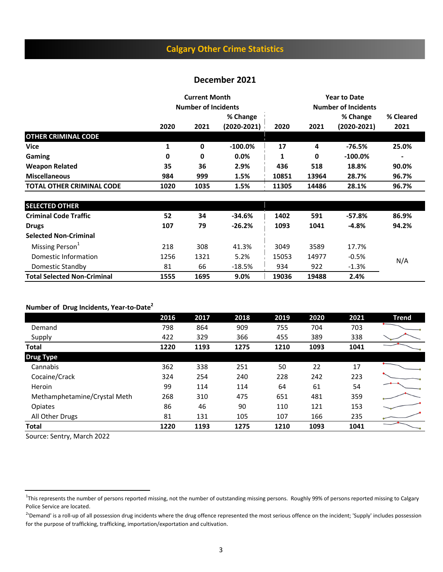# **Calgary Other Crime Statistics**

## **December 2021**

|                                  |      | <b>Current Month</b><br><b>Number of Incidents</b> |                         | <b>Year to Date</b><br><b>Number of Incidents</b> |                |                             |                          |
|----------------------------------|------|----------------------------------------------------|-------------------------|---------------------------------------------------|----------------|-----------------------------|--------------------------|
|                                  | 2020 | 2021                                               | % Change<br>(2020-2021) | 2020                                              | 2021           | % Change<br>$(2020 - 2021)$ | % Cleared<br>2021        |
| <b>OTHER CRIMINAL CODE</b>       |      |                                                    |                         |                                                   |                |                             |                          |
| <b>Vice</b>                      |      | 0                                                  | $-100.0\%$              | 17                                                | 4              | -76.5%                      | 25.0%                    |
| Gaming                           | 0    | 0                                                  | $0.0\%$                 | 1                                                 | 0              | $-100.0\%$                  | $\overline{\phantom{0}}$ |
| <b>Weapon Related</b>            | 35   | 36                                                 | 2.9%                    | 436                                               | 518            | 18.8%                       | 90.0%                    |
| <b>Miscellaneous</b>             | 984  | 999                                                | 1.5%                    | 10851                                             | 13964          | 28.7%                       | 96.7%                    |
| <b>TOTAL OTHER CRIMINAL CODE</b> | 1020 | 1.5%<br>1035                                       |                         | 11305                                             | 14486<br>28.1% |                             | 96.7%                    |

| <b>SELECTED OTHER</b>              |      |      |          |       |       |         |       |
|------------------------------------|------|------|----------|-------|-------|---------|-------|
| <b>Criminal Code Traffic</b>       | 52   | 34   | $-34.6%$ | 1402  | 591   | -57.8%  | 86.9% |
| <b>Drugs</b>                       | 107  | 79   | $-26.2%$ | 1093  | 1041  | $-4.8%$ | 94.2% |
| <b>Selected Non-Criminal</b>       |      |      |          |       |       |         |       |
| Missing Person <sup>1</sup>        | 218  | 308  | 41.3%    | 3049  | 3589  | 17.7%   |       |
| Domestic Information               | 1256 | 1321 | 5.2%     | 15053 | 14977 | $-0.5%$ | N/A   |
| Domestic Standby                   | 81   | 66   | $-18.5%$ | 934   | 922   | $-1.3%$ |       |
| <b>Total Selected Non-Criminal</b> | 1555 | 1695 | 9.0%     | 19036 | 19488 | 2.4%    |       |

#### **Number of Drug Incidents, Year-to-Date2**

|                              | 2016 | 2017 | 2018 | 2019 | 2020 | 2021 | <b>Trend</b> |
|------------------------------|------|------|------|------|------|------|--------------|
| Demand                       | 798  | 864  | 909  | 755  | 704  | 703  |              |
| Supply                       | 422  | 329  | 366  | 455  | 389  | 338  |              |
| <b>Total</b>                 | 1220 | 1193 | 1275 | 1210 | 1093 | 1041 |              |
| <b>Drug Type</b>             |      |      |      |      |      |      |              |
| Cannabis                     | 362  | 338  | 251  | 50   | 22   | 17   |              |
| Cocaine/Crack                | 324  | 254  | 240  | 228  | 242  | 223  |              |
| Heroin                       | 99   | 114  | 114  | 64   | 61   | 54   |              |
| Methamphetamine/Crystal Meth | 268  | 310  | 475  | 651  | 481  | 359  |              |
| Opiates                      | 86   | 46   | 90   | 110  | 121  | 153  |              |
| All Other Drugs              | 81   | 131  | 105  | 107  | 166  | 235  |              |
| <b>Total</b>                 | 1220 | 1193 | 1275 | 1210 | 1093 | 1041 |              |

Source: Sentry, March 2022

<sup>&</sup>lt;sup>1</sup>This represents the number of persons reported missing, not the number of outstanding missing persons. Roughly 99% of persons reported missing to Calgary Police Service are located.

<sup>&</sup>lt;sup>2</sup>'Demand' is a roll-up of all possession drug incidents where the drug offence represented the most serious offence on the incident; 'Supply' includes possession for the purpose of trafficking, trafficking, importation/exportation and cultivation.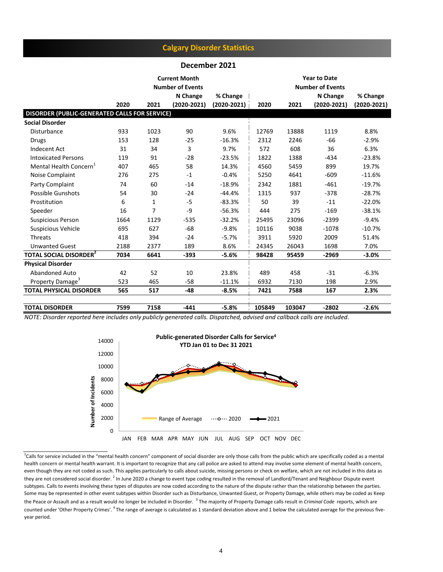## **Calgary Disorder Statistics**

#### **December 2021**

|                                                      |      |      | <b>Current Month</b><br><b>Number of Events</b> |                 |        |        |                 |                 |
|------------------------------------------------------|------|------|-------------------------------------------------|-----------------|--------|--------|-----------------|-----------------|
|                                                      |      |      | N Change                                        | % Change        |        |        | N Change        | % Change        |
|                                                      | 2020 | 2021 | $(2020 - 2021)$                                 | $(2020 - 2021)$ | 2020   | 2021   | $(2020 - 2021)$ | $(2020 - 2021)$ |
| <b>DISORDER (PUBLIC-GENERATED CALLS FOR SERVICE)</b> |      |      |                                                 |                 |        |        |                 |                 |
| <b>Social Disorder</b>                               |      |      |                                                 |                 |        |        |                 |                 |
| Disturbance                                          | 933  | 1023 | 90                                              | 9.6%            | 12769  | 13888  | 1119            | 8.8%            |
| <b>Drugs</b>                                         | 153  | 128  | $-25$                                           | $-16.3%$        | 2312   | 2246   | -66             | $-2.9%$         |
| Indecent Act                                         | 31   | 34   | 3                                               | 9.7%            | 572    | 608    | 36              | 6.3%            |
| <b>Intoxicated Persons</b>                           | 119  | 91   | $-28$                                           | $-23.5%$        | 1822   | 1388   | $-434$          | $-23.8%$        |
| Mental Health Concern <sup>1</sup>                   | 407  | 465  | 58                                              | 14.3%           | 4560   | 5459   | 899             | 19.7%           |
| Noise Complaint                                      | 276  | 275  | $-1$                                            | $-0.4%$         | 5250   | 4641   | $-609$          | $-11.6\%$       |
| Party Complaint                                      | 74   | 60   | $-14$                                           | $-18.9%$        | 2342   | 1881   | $-461$          | $-19.7%$        |
| Possible Gunshots                                    | 54   | 30   | $-24$                                           | $-44.4%$        | 1315   | 937    | $-378$          | $-28.7%$        |
| Prostitution                                         | 6    | 1    | $-5$                                            | $-83.3%$        | 50     | 39     | $-11$           | $-22.0%$        |
| Speeder                                              | 16   | 7    | $-9$                                            | $-56.3%$        | 444    | 275    | $-169$          | $-38.1%$        |
| <b>Suspicious Person</b>                             | 1664 | 1129 | $-535$                                          | $-32.2%$        | 25495  | 23096  | $-2399$         | $-9.4%$         |
| <b>Suspicious Vehicle</b>                            | 695  | 627  | $-68$                                           | $-9.8%$         | 10116  | 9038   | $-1078$         | $-10.7%$        |
| Threats                                              | 418  | 394  | $-24$                                           | $-5.7%$         | 3911   | 5920   | 2009            | 51.4%           |
| <b>Unwanted Guest</b>                                | 2188 | 2377 | 189                                             | 8.6%            | 24345  | 26043  | 1698            | 7.0%            |
| <b>TOTAL SOCIAL DISORDER<sup>2</sup></b>             | 7034 | 6641 | $-393$                                          | $-5.6%$         | 98428  | 95459  | $-2969$         | $-3.0%$         |
| <b>Physical Disorder</b>                             |      |      |                                                 |                 |        |        |                 |                 |
| Abandoned Auto                                       | 42   | 52   | 10                                              | 23.8%           | 489    | 458    | $-31$           | $-6.3%$         |
| Property Damage <sup>3</sup>                         | 523  | 465  | $-58$                                           | $-11.1%$        | 6932   | 7130   | 198             | 2.9%            |
| <b>TOTAL PHYSICAL DISORDER</b>                       | 565  | 517  | -48                                             | $-8.5%$         | 7421   | 7588   | 167             | 2.3%            |
| <b>TOTAL DISORDER</b>                                | 7599 | 7158 | $-441$                                          | $-5.8%$         | 105849 | 103047 | $-2802$         | $-2.6%$         |

*NOTE: Disorder reported here includes only publicly generated calls. Dispatched, advised and callback calls are included.* 



<sup>1</sup>Calls for service included in the "mental health concern" component of social disorder are only those calls from the public which are specifically coded as a mental health concern or mental health warrant. It is important to recognize that any call police are asked to attend may involve some element of mental health concern, even though they are not coded as such. This applies particularly to calls about suicide, missing persons or check on welfare, which are not included in this data as they are not considered social disorder. <sup>2</sup> In June 2020 a change to event type coding resulted in the removal of Landlord/Tenant and Neighbour Dispute event subtypes. Calls to events involving these types of disputes are now coded according to the nature of the dispute rather than the relationship between the parties. Some may be represented in other event subtypes within Disorder such as Disturbance, Unwanted Guest, or Property Damage, while others may be coded as Keep the Peace or Assault and as a result would no longer be included in Disorder. <sup>3</sup> The majority of Property Damage calls result in *Criminal Code* reports, which are counted under 'Other Property Crimes'. <sup>4</sup> The range of average is calculated as 1 standard deviation above and 1 below the calculated average for the previous fiveyear period.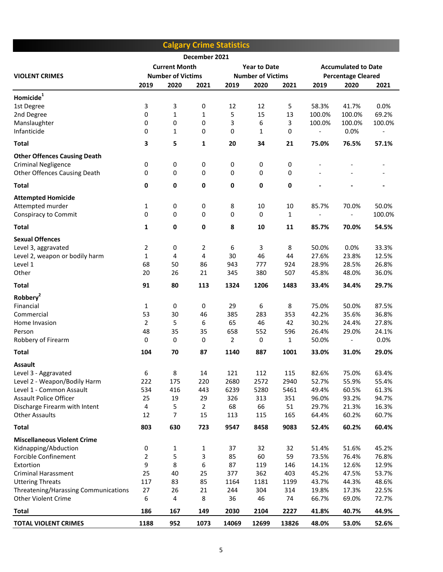|                                                          |                |                          |                | <b>Calgary Crime Statistics</b> |                          |              |                           |                            |                |
|----------------------------------------------------------|----------------|--------------------------|----------------|---------------------------------|--------------------------|--------------|---------------------------|----------------------------|----------------|
|                                                          |                |                          | December 2021  |                                 |                          |              |                           |                            |                |
|                                                          |                | <b>Current Month</b>     |                |                                 | <b>Year to Date</b>      |              |                           | <b>Accumulated to Date</b> |                |
| <b>VIOLENT CRIMES</b>                                    |                | <b>Number of Victims</b> |                |                                 | <b>Number of Victims</b> |              | <b>Percentage Cleared</b> |                            |                |
|                                                          | 2019           | 2020                     | 2021           | 2019                            | 2020                     | 2021         | 2019                      | 2020                       | 2021           |
| Homicide <sup>1</sup>                                    |                |                          |                |                                 |                          |              |                           |                            |                |
| 1st Degree                                               | 3              | 3                        | 0              | 12                              | 12                       | 5            | 58.3%                     | 41.7%                      | 0.0%           |
| 2nd Degree                                               | 0              | 1                        | $\mathbf{1}$   | 5                               | 15                       | 13           | 100.0%                    | 100.0%                     | 69.2%          |
| Manslaughter                                             | 0              | 0                        | 0              | 3                               | 6                        | 3            | 100.0%                    | 100.0%                     | 100.0%         |
| Infanticide                                              | 0              | $\mathbf{1}$             | 0              | 0                               | 1                        | 0            | $\overline{\phantom{a}}$  | 0.0%                       |                |
| <b>Total</b>                                             | 3              | 5                        | 1              | 20                              | 34                       | 21           | 75.0%                     | 76.5%                      | 57.1%          |
| <b>Other Offences Causing Death</b>                      |                |                          |                |                                 |                          |              |                           |                            |                |
| <b>Criminal Negligence</b>                               | 0              | $\pmb{0}$                | 0              | 0                               | 0                        | 0            |                           |                            |                |
| Other Offences Causing Death                             | 0              | $\mathbf 0$              | 0              | 0                               | 0                        | $\pmb{0}$    |                           |                            |                |
| <b>Total</b>                                             | 0              | 0                        | 0              | 0                               | 0                        | $\mathbf 0$  |                           |                            |                |
|                                                          |                |                          |                |                                 |                          |              |                           |                            |                |
| <b>Attempted Homicide</b>                                |                |                          |                |                                 |                          |              |                           |                            |                |
| Attempted murder                                         | $\mathbf{1}$   | 0                        | 0              | 8                               | 10                       | 10           | 85.7%                     | 70.0%                      | 50.0%          |
| Conspiracy to Commit                                     | 0              | 0                        | 0              | 0                               | 0                        | $\mathbf{1}$ |                           |                            | 100.0%         |
| <b>Total</b>                                             | $\mathbf{1}$   | 0                        | $\pmb{0}$      | 8                               | 10                       | 11           | 85.7%                     | 70.0%                      | 54.5%          |
| <b>Sexual Offences</b>                                   |                |                          |                |                                 |                          |              |                           |                            |                |
| Level 3, aggravated                                      | $\overline{2}$ | 0                        | 2              | 6                               | 3                        | 8            | 50.0%                     | 0.0%                       | 33.3%          |
| Level 2, weapon or bodily harm                           | $\mathbf{1}$   | $\overline{4}$           | 4              | 30                              | 46                       | 44           | 27.6%                     | 23.8%                      | 12.5%          |
| Level 1                                                  | 68             | 50                       | 86             | 943                             | 777                      | 924          | 28.9%                     | 28.5%                      | 26.8%          |
| Other                                                    | 20             | 26                       | 21             | 345                             | 380                      | 507          | 45.8%                     | 48.0%                      | 36.0%          |
| <b>Total</b>                                             | 91             | 80                       | 113            | 1324                            | 1206                     | 1483         | 33.4%                     | 34.4%                      | 29.7%          |
| Robbery <sup>2</sup>                                     |                |                          |                |                                 |                          |              |                           |                            |                |
| Financial                                                | 1              | 0                        | 0              | 29                              | 6                        | 8            | 75.0%                     | 50.0%                      | 87.5%          |
| Commercial                                               | 53             | 30                       | 46             | 385                             | 283                      | 353          | 42.2%                     | 35.6%                      | 36.8%          |
| Home Invasion                                            | $\overline{2}$ | 5                        | 6              | 65                              | 46                       | 42           | 30.2%                     | 24.4%                      | 27.8%          |
| Person<br>Robbery of Firearm                             | 48<br>0        | 35<br>$\pmb{0}$          | 35<br>0        | 658<br>$\overline{2}$           | 552<br>0                 | 596<br>1     | 26.4%<br>50.0%            | 29.0%                      | 24.1%<br>0.0%  |
|                                                          |                |                          |                |                                 |                          |              |                           |                            |                |
| <b>Total</b>                                             | 104            | 70                       | 87             | 1140                            | 887                      | 1001         | 33.0%                     | 31.0%                      | 29.0%          |
| <b>Assault</b>                                           |                |                          |                |                                 |                          |              |                           |                            |                |
| Level 3 - Aggravated                                     | 6              | 8                        | 14             | 121                             | 112                      | 115          | 82.6%                     | 75.0%                      | 63.4%          |
| Level 2 - Weapon/Bodily Harm<br>Level 1 - Common Assault | 222<br>534     | 175<br>416               | 220<br>443     | 2680<br>6239                    | 2572<br>5280             | 2940<br>5461 | 52.7%<br>49.4%            | 55.9%<br>60.5%             | 55.4%<br>61.3% |
| <b>Assault Police Officer</b>                            | 25             | 19                       | 29             | 326                             | 313                      | 351          | 96.0%                     | 93.2%                      | 94.7%          |
| Discharge Firearm with Intent                            | 4              | 5                        | $\overline{2}$ | 68                              | 66                       | 51           | 29.7%                     | 21.3%                      | 16.3%          |
| <b>Other Assaults</b>                                    | 12             | 7                        | 15             | 113                             | 115                      | 165          | 64.4%                     | 60.2%                      | 60.7%          |
| <b>Total</b>                                             | 803            | 630                      | 723            | 9547                            | 8458                     | 9083         | 52.4%                     | 60.2%                      | 60.4%          |
| <b>Miscellaneous Violent Crime</b>                       |                |                          |                |                                 |                          |              |                           |                            |                |
| Kidnapping/Abduction                                     | 0              | 1                        | 1              | 37                              | 32                       | 32           | 51.4%                     | 51.6%                      | 45.2%          |
| Forcible Confinement                                     | $\overline{2}$ | 5                        | 3              | 85                              | 60                       | 59           | 73.5%                     | 76.4%                      | 76.8%          |
| Extortion                                                | 9              | 8                        | 6              | 87                              | 119                      | 146          | 14.1%                     | 12.6%                      | 12.9%          |
| <b>Criminal Harassment</b>                               | 25             | 40                       | 25             | 377                             | 362                      | 403          | 45.2%                     | 47.5%                      | 53.7%          |
| <b>Uttering Threats</b>                                  | 117            | 83                       | 85             | 1164                            | 1181                     | 1199         | 43.7%                     | 44.3%                      | 48.6%          |
| Threatening/Harassing Communications                     | 27             | 26                       | 21             | 244                             | 304                      | 314          | 19.8%                     | 17.3%                      | 22.5%          |
| <b>Other Violent Crime</b>                               | 6              | 4                        | 8              | 36                              | 46                       | 74           | 66.7%                     | 69.0%                      | 72.7%          |
| Total                                                    | 186            | 167                      | 149            | 2030                            | 2104                     | 2227         | 41.8%                     | 40.7%                      | 44.9%          |
| <b>TOTAL VIOLENT CRIMES</b>                              | 1188           | 952                      | 1073           | 14069                           | 12699                    | 13826        | 48.0%                     | 53.0%                      | 52.6%          |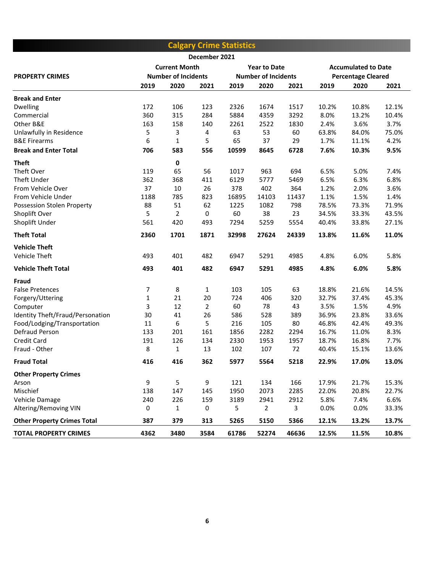|                                    |              |                            |               | <b>Calgary Crime Statistics</b> |                     |       |                            |       |       |
|------------------------------------|--------------|----------------------------|---------------|---------------------------------|---------------------|-------|----------------------------|-------|-------|
|                                    |              |                            | December 2021 |                                 |                     |       |                            |       |       |
|                                    |              | <b>Current Month</b>       |               |                                 | <b>Year to Date</b> |       | <b>Accumulated to Date</b> |       |       |
| <b>PROPERTY CRIMES</b>             |              | <b>Number of Incidents</b> |               | <b>Number of Incidents</b>      |                     |       | <b>Percentage Cleared</b>  |       |       |
|                                    | 2019         | 2020                       | 2021          | 2019                            | 2020                | 2021  | 2019                       | 2020  | 2021  |
| <b>Break and Enter</b>             |              |                            |               |                                 |                     |       |                            |       |       |
| <b>Dwelling</b>                    | 172          | 106                        | 123           | 2326                            | 1674                | 1517  | 10.2%                      | 10.8% | 12.1% |
| Commercial                         | 360          | 315                        | 284           | 5884                            | 4359                | 3292  | 8.0%                       | 13.2% | 10.4% |
| Other B&E                          | 163          | 158                        | 140           | 2261                            | 2522                | 1830  | 2.4%                       | 3.6%  | 3.7%  |
| Unlawfully in Residence            | 5            | 3                          | 4             | 63                              | 53                  | 60    | 63.8%                      | 84.0% | 75.0% |
| <b>B&amp;E Firearms</b>            | 6            | $\mathbf{1}$               | 5             | 65                              | 37                  | 29    | 1.7%                       | 11.1% | 4.2%  |
| <b>Break and Enter Total</b>       | 706          | 583                        | 556           | 10599                           | 8645                | 6728  | 7.6%                       | 10.3% | 9.5%  |
| <b>Theft</b>                       |              | 0                          |               |                                 |                     |       |                            |       |       |
| Theft Over                         | 119          | 65                         | 56            | 1017                            | 963                 | 694   | 6.5%                       | 5.0%  | 7.4%  |
| Theft Under                        | 362          | 368                        | 411           | 6129                            | 5777                | 5469  | 6.5%                       | 6.3%  | 6.8%  |
| From Vehicle Over                  | 37           | 10                         | 26            | 378                             | 402                 | 364   | 1.2%                       | 2.0%  | 3.6%  |
| From Vehicle Under                 | 1188         | 785                        | 823           | 16895                           | 14103               | 11437 | 1.1%                       | 1.5%  | 1.4%  |
| Possession Stolen Property         | 88           | 51                         | 62            | 1225                            | 1082                | 798   | 78.5%                      | 73.3% | 71.9% |
| Shoplift Over                      | 5            | $\overline{2}$             | $\pmb{0}$     | 60                              | 38                  | 23    | 34.5%                      | 33.3% | 43.5% |
| Shoplift Under                     | 561          | 420                        | 493           | 7294                            | 5259                | 5554  | 40.4%                      | 33.8% | 27.1% |
| <b>Theft Total</b>                 | 2360         | 1701                       | 1871          | 32998                           | 27624               | 24339 | 13.8%                      | 11.6% | 11.0% |
| <b>Vehicle Theft</b>               |              |                            |               |                                 |                     |       |                            |       |       |
| Vehicle Theft                      | 493          | 401                        | 482           | 6947                            | 5291                | 4985  | 4.8%                       | 6.0%  | 5.8%  |
| <b>Vehicle Theft Total</b>         | 493          | 401                        | 482           | 6947                            | 5291                | 4985  | 4.8%                       | 6.0%  | 5.8%  |
| Fraud                              |              |                            |               |                                 |                     |       |                            |       |       |
| <b>False Pretences</b>             | 7            | 8                          | $\mathbf{1}$  | 103                             | 105                 | 63    | 18.8%                      | 21.6% | 14.5% |
| Forgery/Uttering                   | $\mathbf{1}$ | 21                         | 20            | 724                             | 406                 | 320   | 32.7%                      | 37.4% | 45.3% |
| Computer                           | 3            | 12                         | 2             | 60                              | 78                  | 43    | 3.5%                       | 1.5%  | 4.9%  |
| Identity Theft/Fraud/Personation   | 30           | 41                         | 26            | 586                             | 528                 | 389   | 36.9%                      | 23.8% | 33.6% |
| Food/Lodging/Transportation        | 11           | 6                          | 5             | 216                             | 105                 | 80    | 46.8%                      | 42.4% | 49.3% |
| Defraud Person                     | 133          | 201                        | 161           | 1856                            | 2282                | 2294  | 16.7%                      | 11.0% | 8.3%  |
| <b>Credit Card</b>                 | 191          | 126                        | 134           | 2330                            | 1953                | 1957  | 18.7%                      | 16.8% | 7.7%  |
| Fraud - Other                      | 8            | $\mathbf{1}$               | 13            | 102                             | 107                 | 72    | 40.4%                      | 15.1% | 13.6% |
| <b>Fraud Total</b>                 | 416          | 416                        | 362           | 5977                            | 5564                | 5218  | 22.9%                      | 17.0% | 13.0% |
| <b>Other Property Crimes</b>       |              |                            |               |                                 |                     |       |                            |       |       |
| Arson                              | 9            | 5                          | 9             | 121                             | 134                 | 166   | 17.9%                      | 21.7% | 15.3% |
| Mischief                           | 138          | 147                        | 145           | 1950                            | 2073                | 2285  | 22.0%                      | 20.8% | 22.7% |
| Vehicle Damage                     | 240          | 226                        | 159           | 3189                            | 2941                | 2912  | 5.8%                       | 7.4%  | 6.6%  |
| Altering/Removing VIN              | 0            | $\mathbf{1}$               | 0             | 5                               | 2                   | 3     | 0.0%                       | 0.0%  | 33.3% |
| <b>Other Property Crimes Total</b> | 387          | 379                        | 313           | 5265                            | 5150                | 5366  | 12.1%                      | 13.2% | 13.7% |
| <b>TOTAL PROPERTY CRIMES</b>       | 4362         | 3480                       | 3584          | 61786                           | 52274               | 46636 | 12.5%                      | 11.5% | 10.8% |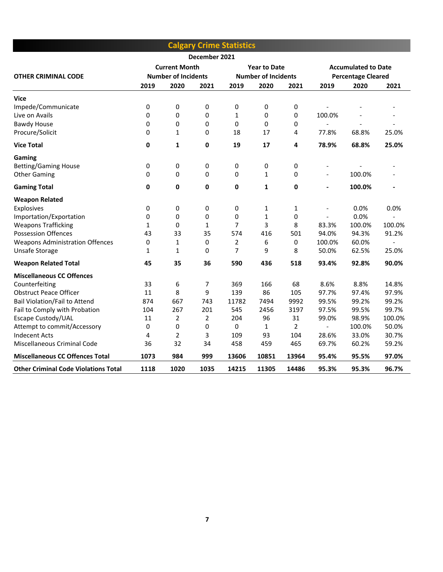|                                             |              |                            |               | <b>Calgary Crime Statistics</b> |                            |                |                          |                            |                |
|---------------------------------------------|--------------|----------------------------|---------------|---------------------------------|----------------------------|----------------|--------------------------|----------------------------|----------------|
|                                             |              |                            | December 2021 |                                 |                            |                |                          |                            |                |
|                                             |              | <b>Current Month</b>       |               |                                 | <b>Year to Date</b>        |                |                          | <b>Accumulated to Date</b> |                |
| <b>OTHER CRIMINAL CODE</b>                  |              | <b>Number of Incidents</b> |               |                                 | <b>Number of Incidents</b> |                |                          | <b>Percentage Cleared</b>  |                |
|                                             | 2019         | 2020                       | 2021          | 2019                            | 2020                       | 2021           | 2019                     | 2020                       | 2021           |
| Vice                                        |              |                            |               |                                 |                            |                |                          |                            |                |
| Impede/Communicate                          | 0            | 0                          | 0             | 0                               | 0                          | 0              |                          |                            |                |
| Live on Avails                              | 0            | 0                          | 0             | 1                               | 0                          | 0              | 100.0%                   |                            |                |
| <b>Bawdy House</b>                          | 0            | 0                          | 0             | 0                               | $\Omega$                   | 0              | $\overline{\phantom{a}}$ | $\overline{a}$             | $\overline{a}$ |
| Procure/Solicit                             | 0            | 1                          | 0             | 18                              | 17                         | 4              | 77.8%                    | 68.8%                      | 25.0%          |
| <b>Vice Total</b>                           | $\mathbf 0$  | 1                          | 0             | 19                              | 17                         | 4              | 78.9%                    | 68.8%                      | 25.0%          |
| Gaming                                      |              |                            |               |                                 |                            |                |                          |                            |                |
| <b>Betting/Gaming House</b>                 | 0            | 0                          | 0             | 0                               | 0                          | 0              | $\overline{\phantom{a}}$ |                            |                |
| <b>Other Gaming</b>                         | 0            | 0                          | 0             | 0                               | $\mathbf{1}$               | 0              | $\overline{a}$           | 100.0%                     |                |
| <b>Gaming Total</b>                         | 0            | 0                          | 0             | 0                               | 1                          | 0              | $\overline{\phantom{0}}$ | 100.0%                     | $\overline{a}$ |
| <b>Weapon Related</b>                       |              |                            |               |                                 |                            |                |                          |                            |                |
| <b>Explosives</b>                           | 0            | 0                          | 0             | 0                               | $\mathbf{1}$               | 1              | $\overline{a}$           | 0.0%                       | 0.0%           |
| Importation/Exportation                     | 0            | 0                          | 0             | 0                               | $\mathbf{1}$               | 0              | $\overline{\phantom{a}}$ | 0.0%                       |                |
| <b>Weapons Trafficking</b>                  | $\mathbf{1}$ | 0                          | 1             | 7                               | 3                          | 8              | 83.3%                    | 100.0%                     | 100.0%         |
| <b>Possession Offences</b>                  | 43           | 33                         | 35            | 574                             | 416                        | 501            | 94.0%                    | 94.3%                      | 91.2%          |
| <b>Weapons Administration Offences</b>      | 0            | $\mathbf{1}$               | 0             | 2                               | 6                          | 0              | 100.0%                   | 60.0%                      |                |
| Unsafe Storage                              | $\mathbf{1}$ | $\mathbf{1}$               | 0             | 7                               | 9                          | 8              | 50.0%                    | 62.5%                      | 25.0%          |
| <b>Weapon Related Total</b>                 | 45           | 35                         | 36            | 590                             | 436                        | 518            | 93.4%                    | 92.8%                      | 90.0%          |
| <b>Miscellaneous CC Offences</b>            |              |                            |               |                                 |                            |                |                          |                            |                |
| Counterfeiting                              | 33           | 6                          | 7             | 369                             | 166                        | 68             | 8.6%                     | 8.8%                       | 14.8%          |
| <b>Obstruct Peace Officer</b>               | 11           | 8                          | 9             | 139                             | 86                         | 105            | 97.7%                    | 97.4%                      | 97.9%          |
| <b>Bail Violation/Fail to Attend</b>        | 874          | 667                        | 743           | 11782                           | 7494                       | 9992           | 99.5%                    | 99.2%                      | 99.2%          |
| Fail to Comply with Probation               | 104          | 267                        | 201           | 545                             | 2456                       | 3197           | 97.5%                    | 99.5%                      | 99.7%          |
| Escape Custody/UAL                          | 11           | $\overline{2}$             | 2             | 204                             | 96                         | 31             | 99.0%                    | 98.9%                      | 100.0%         |
| Attempt to commit/Accessory                 | 0            | 0                          | 0             | 0                               | 1                          | $\overline{2}$ | $\overline{a}$           | 100.0%                     | 50.0%          |
| <b>Indecent Acts</b>                        | 4            | $\overline{2}$             | 3             | 109                             | 93                         | 104            | 28.6%                    | 33.0%                      | 30.7%          |
| Miscellaneous Criminal Code                 | 36           | 32                         | 34            | 458                             | 459                        | 465            | 69.7%                    | 60.2%                      | 59.2%          |
| <b>Miscellaneous CC Offences Total</b>      | 1073         | 984                        | 999           | 13606                           | 10851                      | 13964          | 95.4%                    | 95.5%                      | 97.0%          |
| <b>Other Criminal Code Violations Total</b> | 1118         | 1020                       | 1035          | 14215                           | 11305                      | 14486          | 95.3%                    | 95.3%                      | 96.7%          |